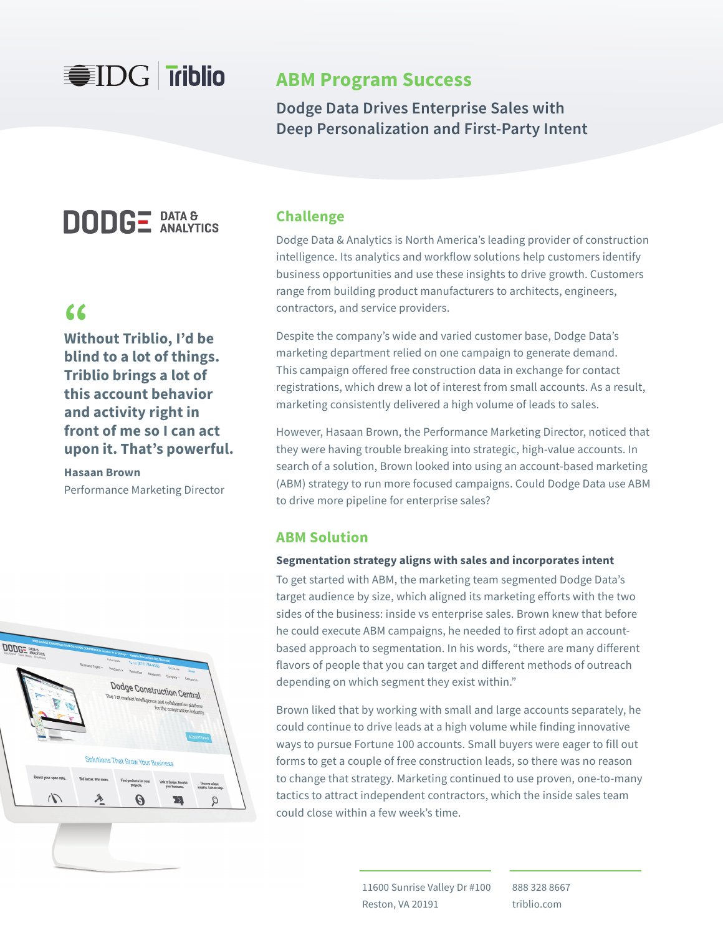### **WIDG Triblio**

### **ABM Program Success**

**Dodge Data Drives Enterprise Sales with Deep Personalization and First-Party Intent**

## **DODGE** DATA &

**Without Triblio, I'd be "blind to a lot of things. Triblio brings a lot of this account behavior and activity right in front of me so I can act upon it. That's powerful.**

**Hasaan Brown**  Performance Marketing Director



### **Challenge**

Dodge Data & Analytics is North America's leading provider of construction intelligence. Its analytics and workflow solutions help customers identify business opportunities and use these insights to drive growth. Customers range from building product manufacturers to architects, engineers, contractors, and service providers.

Despite the company's wide and varied customer base, Dodge Data's marketing department relied on one campaign to generate demand. This campaign offered free construction data in exchange for contact registrations, which drew a lot of interest from small accounts. As a result, marketing consistently delivered a high volume of leads to sales.

However, Hasaan Brown, the Performance Marketing Director, noticed that they were having trouble breaking into strategic, high-value accounts. In search of a solution, Brown looked into using an account-based marketing (ABM) strategy to run more focused campaigns. Could Dodge Data use ABM to drive more pipeline for enterprise sales?

#### **ABM Solution**

#### **Segmentation strategy aligns with sales and incorporates intent**

To get started with ABM, the marketing team segmented Dodge Data's target audience by size, which aligned its marketing efforts with the two sides of the business: inside vs enterprise sales. Brown knew that before he could execute ABM campaigns, he needed to first adopt an accountbased approach to segmentation. In his words, "there are many different flavors of people that you can target and different methods of outreach depending on which segment they exist within."

Brown liked that by working with small and large accounts separately, he could continue to drive leads at a high volume while finding innovative ways to pursue Fortune 100 accounts. Small buyers were eager to fill out forms to get a couple of free construction leads, so there was no reason to change that strategy. Marketing continued to use proven, one-to-many tactics to attract independent contractors, which the inside sales team could close within a few week's time.

> 11600 Sunrise Valley Dr #100 Reston, VA 20191

888 328 8667 triblio.com